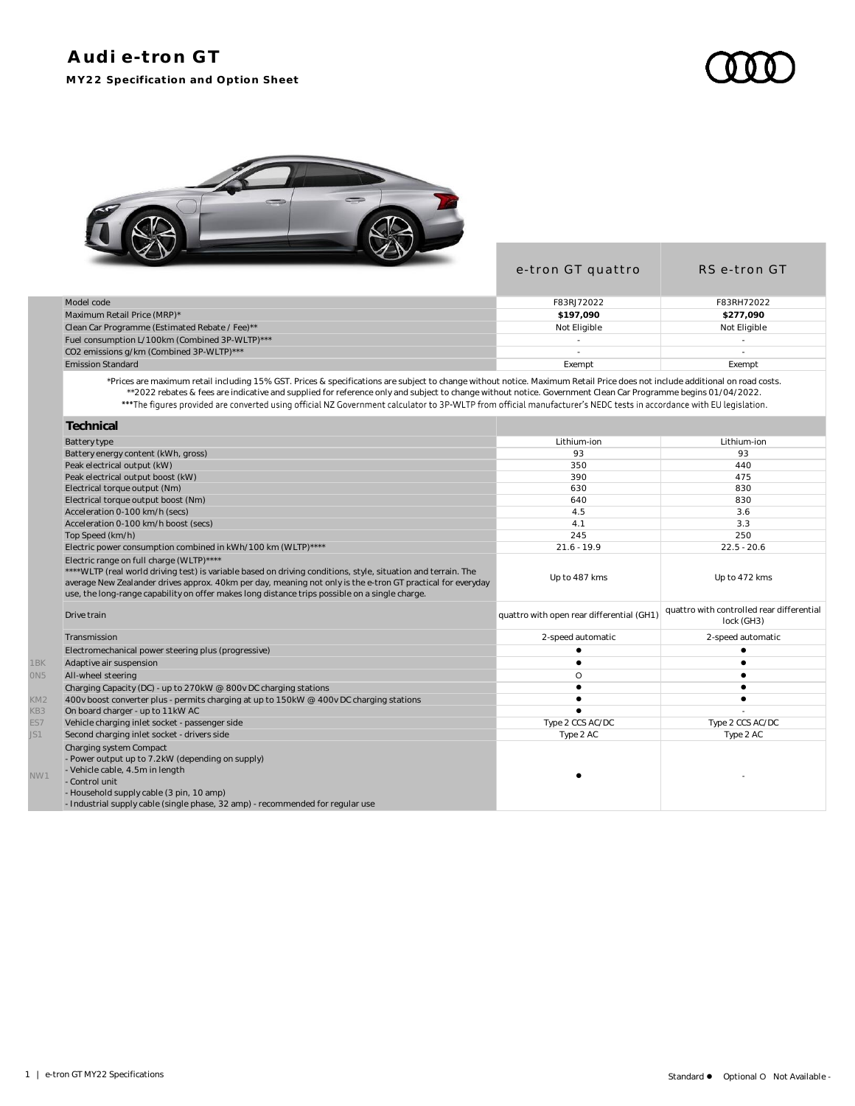## **Audi e-tron GT MY22 Specification and Option Sheet**



|                                                | e-tron GT quattro | RS e-tron GT |
|------------------------------------------------|-------------------|--------------|
| Model code                                     | F83RJ72022        | F83RH72022   |
| Maximum Retail Price (MRP)*                    | \$197.090         | \$277,090    |
| Clean Car Programme (Estimated Rebate / Fee)** | Not Eligible      | Not Eligible |
| Fuel consumption L/100km (Combined 3P-WLTP)*** |                   |              |
| CO2 emissions g/km (Combined 3P-WLTP)***       |                   |              |
| <b>Emission Standard</b>                       | Exempt            | Exempt       |
|                                                |                   |              |

\*Prices are maximum retail including 15% GST. Prices & specifications are subject to change without notice. Maximum Retail Price does not include additional on road costs. \*\*2022 rebates & fees are indicative and supplied for reference only and subject to change without notice. Government Clean Car Programme begins 01/04/2022.

|                 | Technical                                                                                                                                                                                                                                                                                                                                                                  |                                           |                                                         |
|-----------------|----------------------------------------------------------------------------------------------------------------------------------------------------------------------------------------------------------------------------------------------------------------------------------------------------------------------------------------------------------------------------|-------------------------------------------|---------------------------------------------------------|
|                 | <b>Battery type</b>                                                                                                                                                                                                                                                                                                                                                        | Lithium-ion                               | Lithium-ion                                             |
|                 | Battery energy content (kWh, gross)                                                                                                                                                                                                                                                                                                                                        | 93                                        | 93                                                      |
|                 | Peak electrical output (kW)                                                                                                                                                                                                                                                                                                                                                | 350                                       | 440                                                     |
|                 | Peak electrical output boost (kW)                                                                                                                                                                                                                                                                                                                                          | 390                                       | 475                                                     |
|                 | Electrical torque output (Nm)                                                                                                                                                                                                                                                                                                                                              | 630                                       | 830                                                     |
|                 | Electrical torque output boost (Nm)                                                                                                                                                                                                                                                                                                                                        | 640                                       | 830                                                     |
|                 | Acceleration 0-100 km/h (secs)                                                                                                                                                                                                                                                                                                                                             | 4.5                                       | 3.6                                                     |
|                 | Acceleration 0-100 km/h boost (secs)                                                                                                                                                                                                                                                                                                                                       | 4.1                                       | 3.3                                                     |
|                 | Top Speed (km/h)                                                                                                                                                                                                                                                                                                                                                           | 245                                       | 250                                                     |
|                 | Electric power consumption combined in kWh/100 km (WLTP)****                                                                                                                                                                                                                                                                                                               | $21.6 - 19.9$                             | $22.5 - 20.6$                                           |
|                 | Electric range on full charge (WLTP)****<br>****WLTP (real world driving test) is variable based on driving conditions, style, situation and terrain. The<br>average New Zealander drives approx. 40km per day, meaning not only is the e-tron GT practical for everyday<br>use, the long-range capability on offer makes long distance trips possible on a single charge. | Up to 487 kms                             | Up to 472 kms                                           |
|                 | Drive train                                                                                                                                                                                                                                                                                                                                                                | quattro with open rear differential (GH1) | quattro with controlled rear differential<br>lock (GH3) |
|                 | Transmission                                                                                                                                                                                                                                                                                                                                                               | 2-speed automatic                         | 2-speed automatic                                       |
|                 | Electromechanical power steering plus (progressive)                                                                                                                                                                                                                                                                                                                        |                                           |                                                         |
| 1BK             | Adaptive air suspension                                                                                                                                                                                                                                                                                                                                                    |                                           |                                                         |
| ON5             | All-wheel steering                                                                                                                                                                                                                                                                                                                                                         | $\circ$                                   |                                                         |
|                 | Charging Capacity (DC) - up to 270kW @ 800v DC charging stations                                                                                                                                                                                                                                                                                                           |                                           |                                                         |
| KM <sub>2</sub> | 400v boost converter plus - permits charging at up to 150kW @ 400v DC charging stations                                                                                                                                                                                                                                                                                    |                                           |                                                         |
| KB3             | On board charger - up to 11kW AC                                                                                                                                                                                                                                                                                                                                           |                                           |                                                         |
| ES7             | Vehicle charging inlet socket - passenger side                                                                                                                                                                                                                                                                                                                             | Type 2 CCS AC/DC                          | Type 2 CCS AC/DC                                        |
| JS1             | Second charging inlet socket - drivers side                                                                                                                                                                                                                                                                                                                                | Type 2 AC                                 | Type 2 AC                                               |
| NW1             | Charging system Compact<br>- Power output up to 7.2kW (depending on supply)<br>- Vehicle cable, 4.5m in length<br>- Control unit<br>- Household supply cable (3 pin, 10 amp)<br>- Industrial supply cable (single phase, 32 amp) - recommended for regular use                                                                                                             |                                           |                                                         |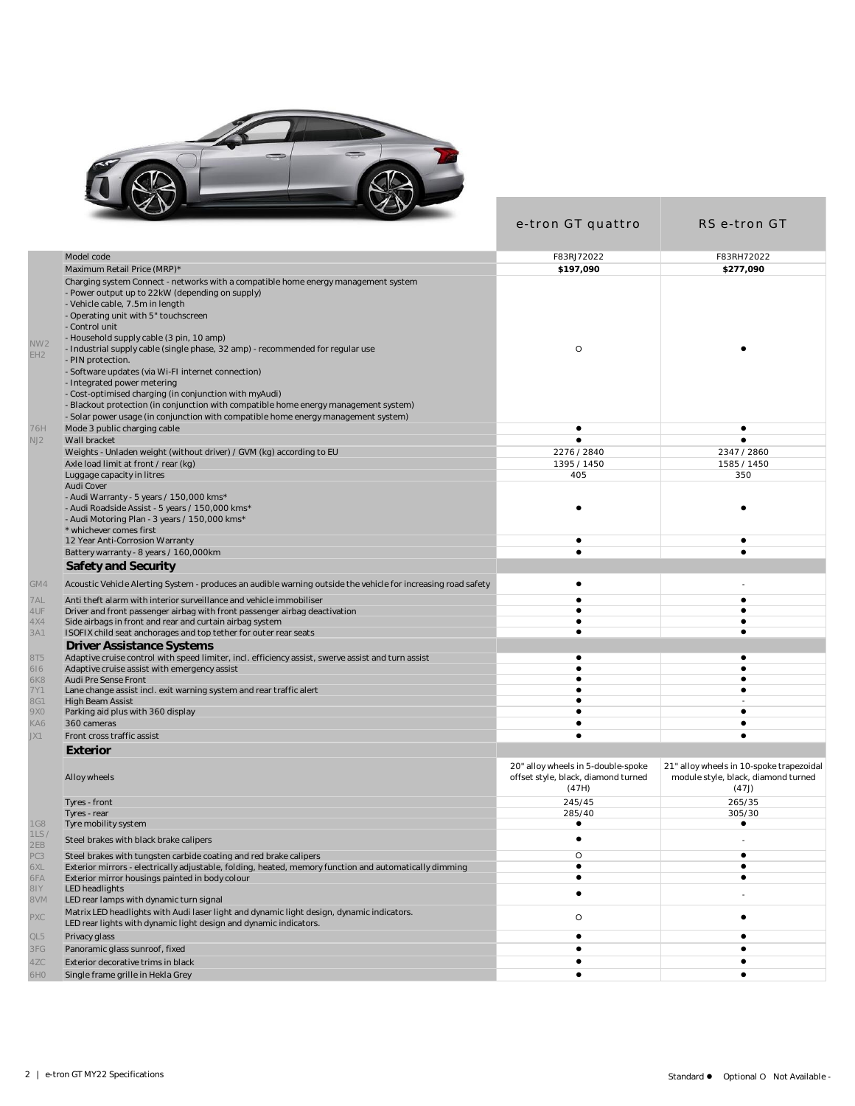

|                                                                                                                                                                                                                                                                                                                                                                                                                             | e-tron GT quattro                                                                  | RS e-tron GT                                                                             |
|-----------------------------------------------------------------------------------------------------------------------------------------------------------------------------------------------------------------------------------------------------------------------------------------------------------------------------------------------------------------------------------------------------------------------------|------------------------------------------------------------------------------------|------------------------------------------------------------------------------------------|
| Model code                                                                                                                                                                                                                                                                                                                                                                                                                  | F83RJ72022                                                                         | F83RH72022                                                                               |
| Maximum Retail Price (MRP)*                                                                                                                                                                                                                                                                                                                                                                                                 | \$197,090                                                                          | \$277,090                                                                                |
| Charging system Connect - networks with a compatible home energy management system<br>- Power output up to 22kW (depending on supply)<br>- Vehicle cable, 7.5m in length<br>- Operating unit with 5" touchscreen<br>- Control unit<br>- Household supply cable (3 pin, 10 amp)<br>NW <sub>2</sub><br>- Industrial supply cable (single phase, 32 amp) - recommended for regular use<br>EH <sub>2</sub><br>- PIN protection. | O                                                                                  |                                                                                          |
| - Software updates (via Wi-FI internet connection)<br>- Integrated power metering<br>- Cost-optimised charging (in conjunction with myAudi)<br>- Blackout protection (in conjunction with compatible home energy management system)<br>- Solar power usage (in conjunction with compatible home energy management system)<br>Mode 3 public charging cable<br>76H                                                            | $\bullet$                                                                          | $\bullet$                                                                                |
| Wall bracket                                                                                                                                                                                                                                                                                                                                                                                                                | $\bullet$                                                                          | $\bullet$                                                                                |
| NJ2<br>Weights - Unladen weight (without driver) / GVM (kg) according to EU                                                                                                                                                                                                                                                                                                                                                 | 2276 / 2840                                                                        | 2347 / 2860                                                                              |
| Axle load limit at front / rear (kg)                                                                                                                                                                                                                                                                                                                                                                                        | 1395 / 1450                                                                        | 1585 / 1450                                                                              |
| Luggage capacity in litres                                                                                                                                                                                                                                                                                                                                                                                                  | 405                                                                                | 350                                                                                      |
| Audi Cover<br>- Audi Warranty - 5 years / 150,000 kms*<br>- Audi Roadside Assist - 5 years / 150,000 kms*<br>- Audi Motoring Plan - 3 years / 150,000 kms*<br>* whichever comes first                                                                                                                                                                                                                                       | $\bullet$                                                                          |                                                                                          |
| 12 Year Anti-Corrosion Warranty                                                                                                                                                                                                                                                                                                                                                                                             | ٠                                                                                  | ٠                                                                                        |
| Battery warranty - 8 years / 160,000km                                                                                                                                                                                                                                                                                                                                                                                      | $\bullet$                                                                          | $\bullet$                                                                                |
| Safety and Security                                                                                                                                                                                                                                                                                                                                                                                                         |                                                                                    |                                                                                          |
| GM4<br>Acoustic Vehicle Alerting System - produces an audible warning outside the vehicle for increasing road safety                                                                                                                                                                                                                                                                                                        | $\bullet$                                                                          |                                                                                          |
| 7AL<br>Anti theft alarm with interior surveillance and vehicle immobiliser                                                                                                                                                                                                                                                                                                                                                  | $\bullet$                                                                          | $\bullet$                                                                                |
| 4UF<br>Driver and front passenger airbag with front passenger airbag deactivation                                                                                                                                                                                                                                                                                                                                           | $\bullet$<br>٠                                                                     | ٠<br>$\bullet$                                                                           |
| 4X4<br>Side airbags in front and rear and curtain airbag system<br>3A1<br>ISOFIX child seat anchorages and top tether for outer rear seats                                                                                                                                                                                                                                                                                  | $\bullet$                                                                          | $\bullet$                                                                                |
| Driver Assistance Systems                                                                                                                                                                                                                                                                                                                                                                                                   |                                                                                    |                                                                                          |
| 8T5<br>Adaptive cruise control with speed limiter, incl. efficiency assist, swerve assist and turn assist                                                                                                                                                                                                                                                                                                                   | ٠                                                                                  | ٠                                                                                        |
| 616<br>Adaptive cruise assist with emergency assist                                                                                                                                                                                                                                                                                                                                                                         | $\bullet$                                                                          | $\bullet$                                                                                |
| Audi Pre Sense Front<br>6K8                                                                                                                                                                                                                                                                                                                                                                                                 | ٠                                                                                  | ٠                                                                                        |
| Lane change assist incl. exit warning system and rear traffic alert<br>7Y1                                                                                                                                                                                                                                                                                                                                                  | $\bullet$                                                                          | $\bullet$                                                                                |
| <b>High Beam Assist</b><br><b>8G1</b>                                                                                                                                                                                                                                                                                                                                                                                       | $\bullet$                                                                          |                                                                                          |
| 9X0<br>Parking aid plus with 360 display                                                                                                                                                                                                                                                                                                                                                                                    | $\bullet$                                                                          | $\bullet$                                                                                |
| KA6<br>360 cameras                                                                                                                                                                                                                                                                                                                                                                                                          | $\bullet$                                                                          | $\bullet$                                                                                |
| JX1<br>Front cross traffic assist                                                                                                                                                                                                                                                                                                                                                                                           |                                                                                    |                                                                                          |
| Exterior                                                                                                                                                                                                                                                                                                                                                                                                                    |                                                                                    |                                                                                          |
| Alloy wheels                                                                                                                                                                                                                                                                                                                                                                                                                | 20" alloy wheels in 5-double-spoke<br>offset style, black, diamond turned<br>(47H) | 21" alloy wheels in 10-spoke trapezoidal<br>module style, black, diamond turned<br>(47J) |
| Tyres - front                                                                                                                                                                                                                                                                                                                                                                                                               | 245/45                                                                             | 265/35                                                                                   |
| Tyres - rear                                                                                                                                                                                                                                                                                                                                                                                                                | 285/40                                                                             | 305/30                                                                                   |
| <b>1G8</b><br>Tyre mobility system<br>1LS/                                                                                                                                                                                                                                                                                                                                                                                  | $\bullet$                                                                          | $\bullet$                                                                                |
| Steel brakes with black brake calipers<br>2EB                                                                                                                                                                                                                                                                                                                                                                               | $\bullet$                                                                          |                                                                                          |
| PC3<br>Steel brakes with tungsten carbide coating and red brake calipers                                                                                                                                                                                                                                                                                                                                                    | O                                                                                  | $\bullet$<br>$\bullet$                                                                   |
| 6XL<br>Exterior mirrors - electrically adjustable, folding, heated, memory function and automatically dimming<br>6FA<br>Exterior mirror housings painted in body colour                                                                                                                                                                                                                                                     | $\bullet$<br>٠                                                                     | ٠                                                                                        |
| 81Y<br>LED headlights                                                                                                                                                                                                                                                                                                                                                                                                       |                                                                                    |                                                                                          |
| <b>NV8</b><br>LED rear lamps with dynamic turn signal                                                                                                                                                                                                                                                                                                                                                                       | $\bullet$                                                                          |                                                                                          |
| Matrix LED headlights with Audi laser light and dynamic light design, dynamic indicators.<br>PXC<br>LED rear lights with dynamic light design and dynamic indicators.                                                                                                                                                                                                                                                       | O                                                                                  | ٠                                                                                        |
| QL5<br>Privacy glass                                                                                                                                                                                                                                                                                                                                                                                                        | ٠                                                                                  | ٠                                                                                        |
| 3FG<br>Panoramic glass sunroof, fixed                                                                                                                                                                                                                                                                                                                                                                                       | ٠                                                                                  | ٠                                                                                        |
| 4ZC<br>Exterior decorative trims in black                                                                                                                                                                                                                                                                                                                                                                                   | ٠                                                                                  | ٠                                                                                        |
| Single frame grille in Hekla Grey<br>6H0                                                                                                                                                                                                                                                                                                                                                                                    | ٠                                                                                  | ٠                                                                                        |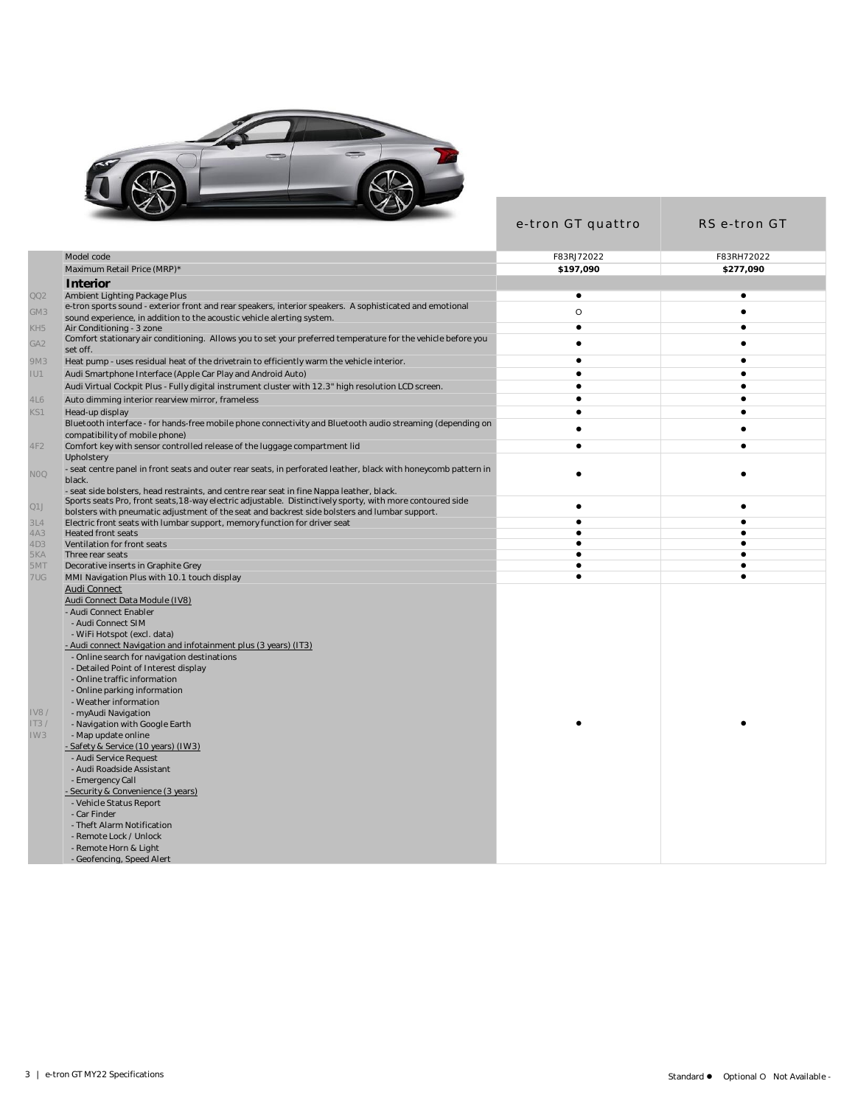

|                                                                                                                                                                                                                   | e-tron GT quattro      | RS e-tron GT   |
|-------------------------------------------------------------------------------------------------------------------------------------------------------------------------------------------------------------------|------------------------|----------------|
| Model code                                                                                                                                                                                                        | F83RJ72022             | F83RH72022     |
| Maximum Retail Price (MRP)*                                                                                                                                                                                       | \$197,090              | \$277,090      |
| <b>Interior</b>                                                                                                                                                                                                   |                        |                |
| QQ2<br>Ambient Lighting Package Plus                                                                                                                                                                              | $\bullet$              | $\bullet$      |
| e-tron sports sound - exterior front and rear speakers, interior speakers. A sophisticated and emotional                                                                                                          |                        |                |
| GM3<br>sound experience, in addition to the acoustic vehicle alerting system.                                                                                                                                     | $\circ$                | $\bullet$      |
| KH5<br>Air Conditioning - 3 zone                                                                                                                                                                                  | $\bullet$              | $\bullet$      |
| Comfort stationary air conditioning. Allows you to set your preferred temperature for the vehicle before you<br>GA <sub>2</sub><br>set off.                                                                       | $\bullet$              | $\bullet$      |
| 9M3<br>Heat pump - uses residual heat of the drivetrain to efficiently warm the vehicle interior.                                                                                                                 | $\bullet$              | $\bullet$      |
| IU1<br>Audi Smartphone Interface (Apple Car Play and Android Auto)                                                                                                                                                | $\bullet$              | $\bullet$      |
| Audi Virtual Cockpit Plus - Fully digital instrument cluster with 12.3" high resolution LCD screen.                                                                                                               | $\bullet$              | $\bullet$      |
| 4L6<br>Auto dimming interior rearview mirror, frameless                                                                                                                                                           | $\bullet$              | $\bullet$      |
| KS1<br>Head-up display                                                                                                                                                                                            | $\bullet$              | $\bullet$      |
| Bluetooth interface - for hands-free mobile phone connectivity and Bluetooth audio streaming (depending on<br>compatibility of mobile phone)                                                                      | $\bullet$              | $\bullet$      |
| 4F2<br>Comfort key with sensor controlled release of the luggage compartment lid                                                                                                                                  | $\bullet$              | $\bullet$      |
| Upholstery                                                                                                                                                                                                        |                        |                |
| - seat centre panel in front seats and outer rear seats, in perforated leather, black with honeycomb pattern in<br>NOQ<br>black.                                                                                  | $\bullet$              |                |
| - seat side bolsters, head restraints, and centre rear seat in fine Nappa leather, black.                                                                                                                         |                        |                |
| Sports seats Pro, front seats, 18-way electric adjustable. Distinctively sporty, with more contoured side<br>Q1J<br>bolsters with pneumatic adjustment of the seat and backrest side bolsters and lumbar support. | $\bullet$              | $\bullet$      |
| 3L4<br>Electric front seats with lumbar support, memory function for driver seat                                                                                                                                  | $\bullet$              | $\bullet$      |
| 4A3<br><b>Heated front seats</b>                                                                                                                                                                                  | $\bullet$              | $\bullet$      |
| 4D3<br>Ventilation for front seats                                                                                                                                                                                | $\bullet$              | $\bullet$      |
| 5KA<br>Three rear seats<br>5MT<br>Decorative inserts in Graphite Grey                                                                                                                                             | $\bullet$<br>$\bullet$ | ٠<br>$\bullet$ |
| 7UG<br>MMI Navigation Plus with 10.1 touch display                                                                                                                                                                | $\bullet$              | $\bullet$      |
| <b>Audi Connect</b>                                                                                                                                                                                               |                        |                |
| Audi Connect Data Module (IV8)                                                                                                                                                                                    |                        |                |
| - Audi Connect Enabler                                                                                                                                                                                            |                        |                |
| - Audi Connect SIM                                                                                                                                                                                                |                        |                |
| - WiFi Hotspot (excl. data)                                                                                                                                                                                       |                        |                |
| - Audi connect Navigation and infotainment plus (3 years) (IT3)                                                                                                                                                   |                        |                |
| - Online search for navigation destinations                                                                                                                                                                       |                        |                |
| - Detailed Point of Interest display                                                                                                                                                                              |                        |                |
| - Online traffic information                                                                                                                                                                                      |                        |                |
| - Online parking information<br>- Weather information                                                                                                                                                             |                        |                |
| <b>IV8/</b><br>- myAudi Navigation                                                                                                                                                                                |                        |                |
| IT3/<br>- Navigation with Google Earth                                                                                                                                                                            |                        |                |
| IW3<br>- Map update online                                                                                                                                                                                        |                        |                |
| - Safety & Service (10 years) (IW3)                                                                                                                                                                               |                        |                |
| - Audi Service Request                                                                                                                                                                                            |                        |                |
| - Audi Roadside Assistant                                                                                                                                                                                         |                        |                |
| - Emergency Call                                                                                                                                                                                                  |                        |                |
| - Security & Convenience (3 years)                                                                                                                                                                                |                        |                |
| - Vehicle Status Report                                                                                                                                                                                           |                        |                |
| - Car Finder                                                                                                                                                                                                      |                        |                |
| - Theft Alarm Notification<br>- Remote Lock / Unlock                                                                                                                                                              |                        |                |
| - Remote Horn & Light                                                                                                                                                                                             |                        |                |
| - Geofencing, Speed Alert                                                                                                                                                                                         |                        |                |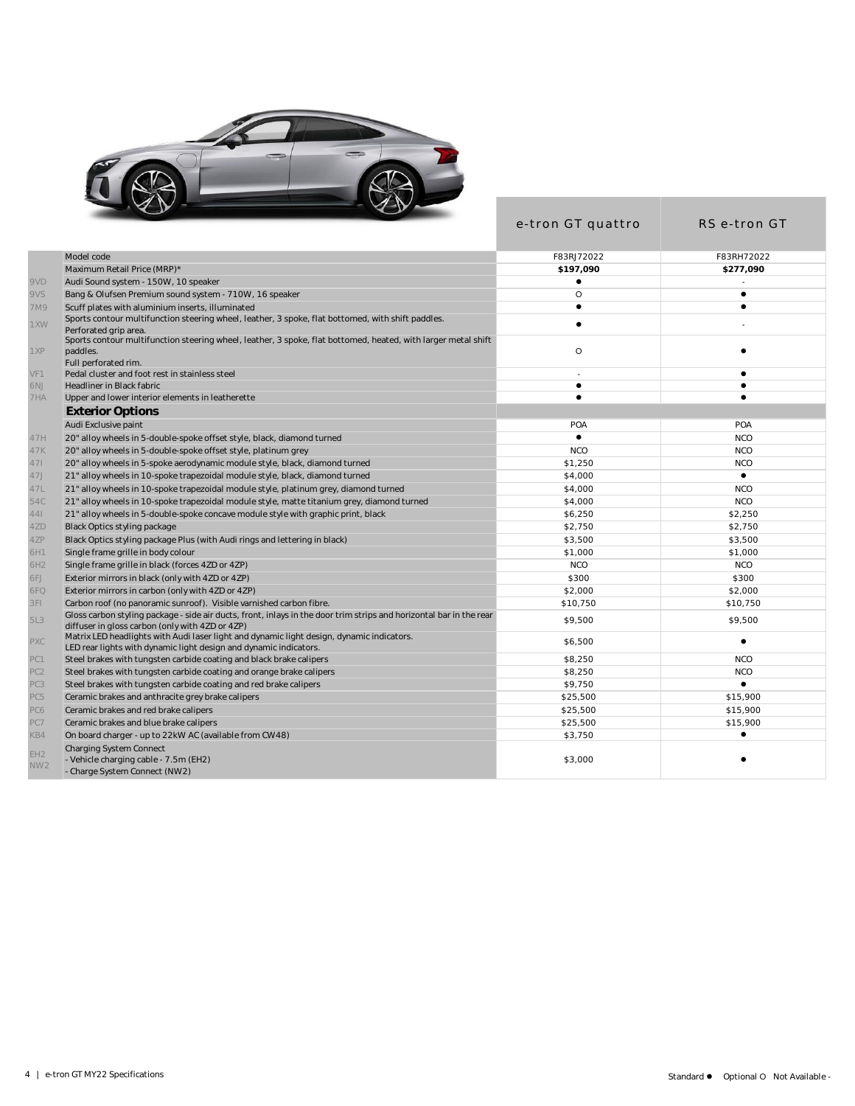

|                                    |                                                                                                                                                                        | e-tron GT quattro | RS e-tron GT |
|------------------------------------|------------------------------------------------------------------------------------------------------------------------------------------------------------------------|-------------------|--------------|
|                                    | Model code                                                                                                                                                             | F83RJ72022        | F83RH72022   |
|                                    | Maximum Retail Price (MRP)*                                                                                                                                            | \$197.090         | \$277.090    |
| 9VD                                | Audi Sound system - 150W, 10 speaker                                                                                                                                   | ٠                 |              |
| 9VS                                | Bang & Olufsen Premium sound system - 710W, 16 speaker                                                                                                                 | $\circ$           | $\bullet$    |
| 7M9                                | Scuff plates with aluminium inserts, illuminated                                                                                                                       | $\bullet$         | $\bullet$    |
| 1XW                                | Sports contour multifunction steering wheel, leather, 3 spoke, flat bottomed, with shift paddles.<br>Perforated grip area                                              | $\bullet$         |              |
| 1XP                                | Sports contour multifunction steering wheel, leather, 3 spoke, flat bottomed, heated, with larger metal shift<br>paddles.<br>Full perforated rim.                      | $\circ$           | ٠            |
| VF1                                | Pedal cluster and foot rest in stainless steel                                                                                                                         |                   | $\bullet$    |
| 6NJ                                | Headliner in Black fabric                                                                                                                                              | $\bullet$         | ٠            |
| 7HA                                | Upper and lower interior elements in leatherette                                                                                                                       | ٠                 |              |
|                                    | <b>Exterior Options</b>                                                                                                                                                |                   |              |
|                                    | Audi Exclusive paint                                                                                                                                                   | POA               | POA          |
| 47H                                | 20" alloy wheels in 5-double-spoke offset style, black, diamond turned                                                                                                 | $\bullet$         | <b>NCO</b>   |
| 47K                                | 20" alloy wheels in 5-double-spoke offset style, platinum grey                                                                                                         | <b>NCO</b>        | <b>NCO</b>   |
| 471                                | 20" alloy wheels in 5-spoke aerodynamic module style, black, diamond turned                                                                                            | \$1,250           | <b>NCO</b>   |
| 47J                                | 21" alloy wheels in 10-spoke trapezoidal module style, black, diamond turned                                                                                           | \$4,000           | $\bullet$    |
| 47L                                | 21" alloy wheels in 10-spoke trapezoidal module style, platinum grey, diamond turned                                                                                   | \$4,000           | <b>NCO</b>   |
| 54C                                | 21" alloy wheels in 10-spoke trapezoidal module style, matte titanium grey, diamond turned                                                                             | \$4,000           | <b>NCO</b>   |
| 441                                | 21" alloy wheels in 5-double-spoke concave module style with graphic print, black                                                                                      | \$6,250           | \$2,250      |
| 4ZD                                | <b>Black Optics styling package</b>                                                                                                                                    | \$2,750           | \$2,750      |
| 4ZP                                | Black Optics styling package Plus (with Audi rings and lettering in black)                                                                                             | \$3,500           | \$3,500      |
| 6H1                                | Single frame grille in body colour                                                                                                                                     | \$1,000           | \$1,000      |
| 6H2                                | Single frame grille in black (forces 4ZD or 4ZP)                                                                                                                       | <b>NCO</b>        | <b>NCO</b>   |
| 6FJ                                | Exterior mirrors in black (only with 4ZD or 4ZP)                                                                                                                       | \$300             | \$300        |
| 6FQ                                | Exterior mirrors in carbon (only with 4ZD or 4ZP)                                                                                                                      | \$2,000           | \$2,000      |
| 3FI                                | Carbon roof (no panoramic sunroof). Visible varnished carbon fibre.                                                                                                    | \$10,750          | \$10,750     |
| 5L3                                | Gloss carbon styling package - side air ducts, front, inlays in the door trim strips and horizontal bar in the rear<br>diffuser in gloss carbon (only with 4ZD or 4ZP) | \$9,500           | \$9,500      |
| PXC                                | Matrix LED headlights with Audi laser light and dynamic light design, dynamic indicators.<br>LED rear lights with dynamic light design and dynamic indicators.         | \$6,500           | $\bullet$    |
| PC1                                | Steel brakes with tungsten carbide coating and black brake calipers                                                                                                    | \$8,250           | <b>NCO</b>   |
| PC <sub>2</sub>                    | Steel brakes with tungsten carbide coating and orange brake calipers                                                                                                   | \$8,250           | <b>NCO</b>   |
| PC3                                | Steel brakes with tungsten carbide coating and red brake calipers                                                                                                      | \$9,750           | $\bullet$    |
| PC5                                | Ceramic brakes and anthracite grey brake calipers                                                                                                                      | \$25,500          | \$15,900     |
| PC6                                | Ceramic brakes and red brake calipers                                                                                                                                  | \$25,500          | \$15,900     |
| PC7                                | Ceramic brakes and blue brake calipers                                                                                                                                 | \$25,500          | \$15,900     |
| KB4                                | On board charger - up to 22kW AC (available from CW48)                                                                                                                 | \$3,750           | ٠            |
| EH <sub>2</sub><br>NW <sub>2</sub> | Charging System Connect<br>- Vehicle charging cable - 7.5m (EH2)<br>- Charge System Connect (NW2)                                                                      | \$3,000           |              |